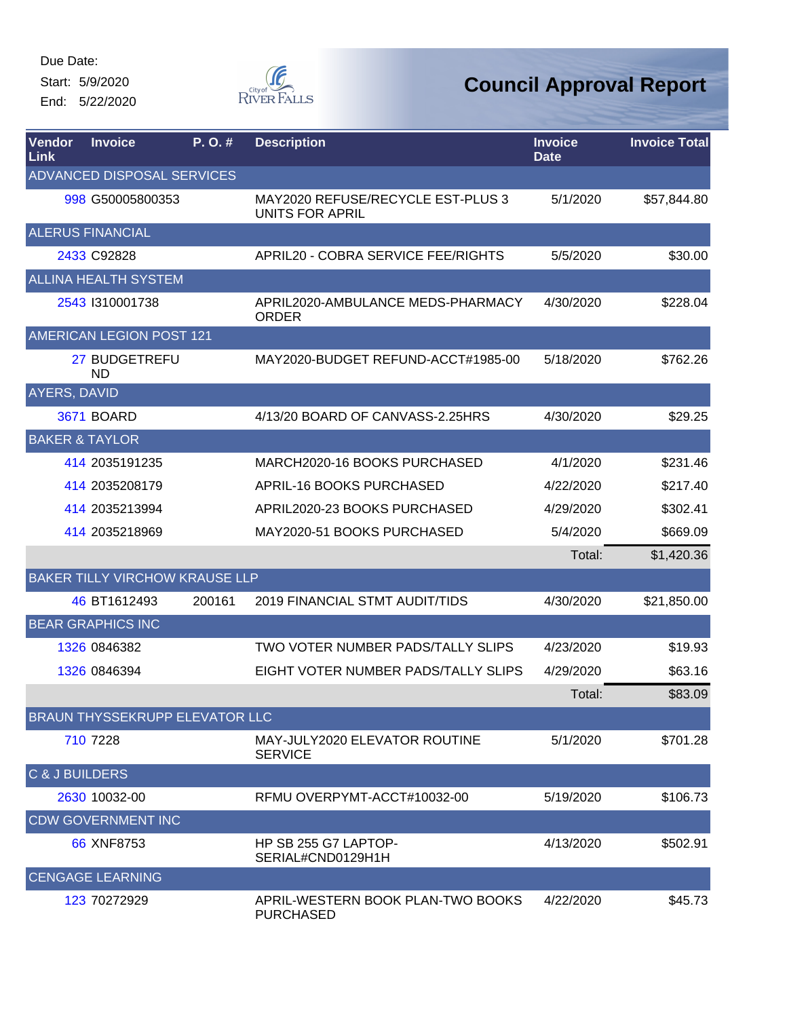Start: 5/9/2020

End: 5/22/2020



| Vendor<br><b>Link</b>     | <b>Invoice</b>                        | P.O.#  | <b>Description</b>                                          | <b>Invoice</b><br><b>Date</b> | <b>Invoice Total</b> |
|---------------------------|---------------------------------------|--------|-------------------------------------------------------------|-------------------------------|----------------------|
|                           | ADVANCED DISPOSAL SERVICES            |        |                                                             |                               |                      |
|                           | 998 G50005800353                      |        | MAY2020 REFUSE/RECYCLE EST-PLUS 3<br><b>UNITS FOR APRIL</b> | 5/1/2020                      | \$57,844.80          |
|                           | <b>ALERUS FINANCIAL</b>               |        |                                                             |                               |                      |
|                           | 2433 C92828                           |        | APRIL20 - COBRA SERVICE FEE/RIGHTS                          | 5/5/2020                      | \$30.00              |
|                           | <b>ALLINA HEALTH SYSTEM</b>           |        |                                                             |                               |                      |
|                           | 2543 1310001738                       |        | APRIL2020-AMBULANCE MEDS-PHARMACY<br><b>ORDER</b>           | 4/30/2020                     | \$228.04             |
|                           | AMERICAN LEGION POST 121              |        |                                                             |                               |                      |
|                           | 27 BUDGETREFU<br><b>ND</b>            |        | MAY2020-BUDGET REFUND-ACCT#1985-00                          | 5/18/2020                     | \$762.26             |
| AYERS, DAVID              |                                       |        |                                                             |                               |                      |
|                           | <b>3671 BOARD</b>                     |        | 4/13/20 BOARD OF CANVASS-2.25HRS                            | 4/30/2020                     | \$29.25              |
|                           | <b>BAKER &amp; TAYLOR</b>             |        |                                                             |                               |                      |
|                           | 414 2035191235                        |        | MARCH2020-16 BOOKS PURCHASED                                | 4/1/2020                      | \$231.46             |
|                           | 414 2035208179                        |        | APRIL-16 BOOKS PURCHASED                                    | 4/22/2020                     | \$217.40             |
|                           | 414 2035213994                        |        | APRIL2020-23 BOOKS PURCHASED                                | 4/29/2020                     | \$302.41             |
|                           | 414 2035218969                        |        | MAY2020-51 BOOKS PURCHASED                                  | 5/4/2020                      | \$669.09             |
|                           |                                       |        |                                                             | Total:                        | \$1,420.36           |
|                           | <b>BAKER TILLY VIRCHOW KRAUSE LLP</b> |        |                                                             |                               |                      |
|                           | 46 BT1612493                          | 200161 | <b>2019 FINANCIAL STMT AUDIT/TIDS</b>                       | 4/30/2020                     | \$21,850.00          |
|                           | <b>BEAR GRAPHICS INC</b>              |        |                                                             |                               |                      |
|                           | 1326 0846382                          |        | TWO VOTER NUMBER PADS/TALLY SLIPS                           | 4/23/2020                     | \$19.93              |
|                           | 1326 0846394                          |        | EIGHT VOTER NUMBER PADS/TALLY SLIPS                         | 4/29/2020                     | \$63.16              |
|                           |                                       |        |                                                             | Total:                        | \$83.09              |
|                           | BRAUN THYSSEKRUPP ELEVATOR LLC        |        |                                                             |                               |                      |
|                           | 710 7228                              |        | MAY-JULY2020 ELEVATOR ROUTINE<br><b>SERVICE</b>             | 5/1/2020                      | \$701.28             |
| <b>C &amp; J BUILDERS</b> |                                       |        |                                                             |                               |                      |
|                           | 2630 10032-00                         |        | RFMU OVERPYMT-ACCT#10032-00                                 | 5/19/2020                     | \$106.73             |
|                           | <b>CDW GOVERNMENT INC</b>             |        |                                                             |                               |                      |
|                           | 66 XNF8753                            |        | HP SB 255 G7 LAPTOP-<br>SERIAL#CND0129H1H                   | 4/13/2020                     | \$502.91             |
|                           | <b>CENGAGE LEARNING</b>               |        |                                                             |                               |                      |
|                           | 123 70272929                          |        | APRIL-WESTERN BOOK PLAN-TWO BOOKS<br><b>PURCHASED</b>       | 4/22/2020                     | \$45.73              |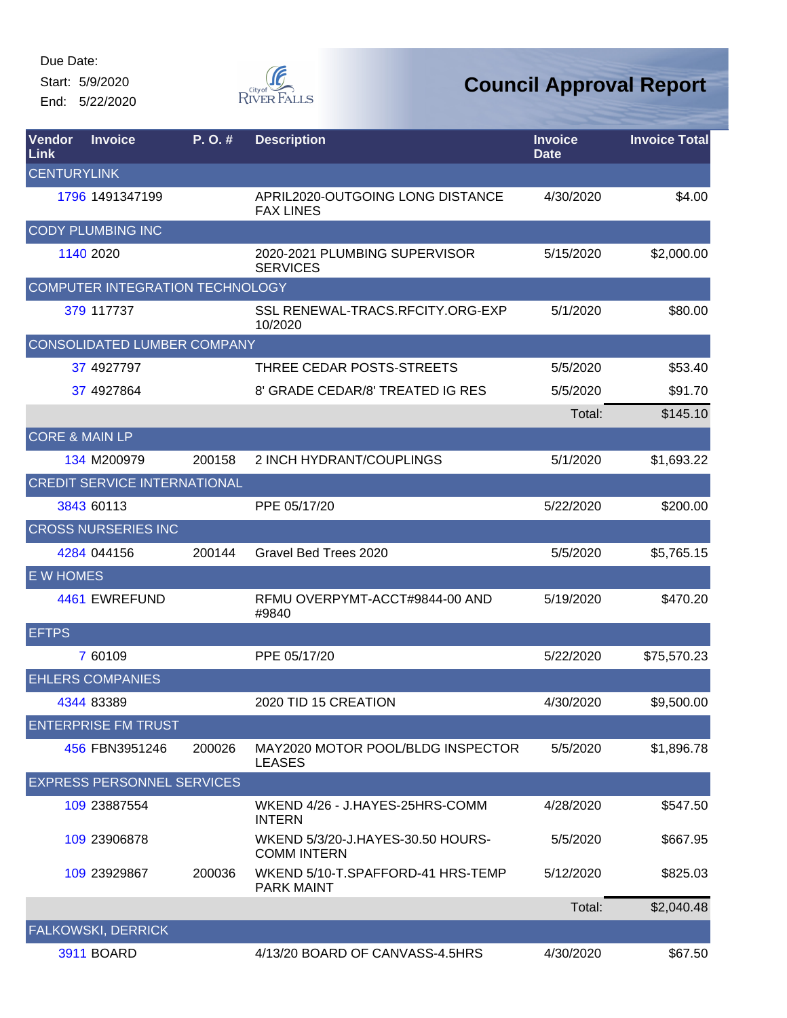Start: 5/9/2020 End: 5/22/2020



| Vendor<br>Link            | <b>Invoice</b>                      | P.O.#  | <b>Description</b>                                      | <b>Invoice</b><br><b>Date</b> | <b>Invoice Total</b> |
|---------------------------|-------------------------------------|--------|---------------------------------------------------------|-------------------------------|----------------------|
| <b>CENTURYLINK</b>        |                                     |        |                                                         |                               |                      |
|                           | 1796 1491347199                     |        | APRIL2020-OUTGOING LONG DISTANCE<br><b>FAX LINES</b>    | 4/30/2020                     | \$4.00               |
|                           | <b>CODY PLUMBING INC</b>            |        |                                                         |                               |                      |
|                           | 1140 2020                           |        | 2020-2021 PLUMBING SUPERVISOR<br><b>SERVICES</b>        | 5/15/2020                     | \$2,000.00           |
|                           | COMPUTER INTEGRATION TECHNOLOGY     |        |                                                         |                               |                      |
|                           | 379 117737                          |        | SSL RENEWAL-TRACS.RFCITY.ORG-EXP<br>10/2020             | 5/1/2020                      | \$80.00              |
|                           | <b>CONSOLIDATED LUMBER COMPANY</b>  |        |                                                         |                               |                      |
|                           | 37 4927797                          |        | THREE CEDAR POSTS-STREETS                               | 5/5/2020                      | \$53.40              |
|                           | 37 4927864                          |        | 8' GRADE CEDAR/8' TREATED IG RES                        | 5/5/2020                      | \$91.70              |
|                           |                                     |        |                                                         | Total:                        | \$145.10             |
| <b>CORE &amp; MAIN LP</b> |                                     |        |                                                         |                               |                      |
|                           | 134 M200979                         | 200158 | 2 INCH HYDRANT/COUPLINGS                                | 5/1/2020                      | \$1,693.22           |
|                           | <b>CREDIT SERVICE INTERNATIONAL</b> |        |                                                         |                               |                      |
|                           | 3843 60113                          |        | PPE 05/17/20                                            | 5/22/2020                     | \$200.00             |
|                           | <b>CROSS NURSERIES INC</b>          |        |                                                         |                               |                      |
|                           | 4284 044156                         | 200144 | Gravel Bed Trees 2020                                   | 5/5/2020                      | \$5,765.15           |
| <b>E W HOMES</b>          |                                     |        |                                                         |                               |                      |
|                           | 4461 EWREFUND                       |        | RFMU OVERPYMT-ACCT#9844-00 AND<br>#9840                 | 5/19/2020                     | \$470.20             |
| <b>EFTPS</b>              |                                     |        |                                                         |                               |                      |
|                           | 7 60109                             |        | PPE 05/17/20                                            | 5/22/2020                     | \$75,570.23          |
|                           | <b>EHLERS COMPANIES</b>             |        |                                                         |                               |                      |
|                           | 4344 83389                          |        | 2020 TID 15 CREATION                                    | 4/30/2020                     | \$9,500.00           |
|                           | <b>ENTERPRISE FM TRUST</b>          |        |                                                         |                               |                      |
|                           | 456 FBN3951246                      | 200026 | MAY2020 MOTOR POOL/BLDG INSPECTOR<br><b>LEASES</b>      | 5/5/2020                      | \$1,896.78           |
|                           | <b>EXPRESS PERSONNEL SERVICES</b>   |        |                                                         |                               |                      |
|                           | 109 23887554                        |        | WKEND 4/26 - J.HAYES-25HRS-COMM<br><b>INTERN</b>        | 4/28/2020                     | \$547.50             |
|                           | 109 23906878                        |        | WKEND 5/3/20-J.HAYES-30.50 HOURS-<br><b>COMM INTERN</b> | 5/5/2020                      | \$667.95             |
|                           | 109 23929867                        | 200036 | WKEND 5/10-T.SPAFFORD-41 HRS-TEMP<br><b>PARK MAINT</b>  | 5/12/2020                     | \$825.03             |
|                           |                                     |        |                                                         | Total:                        | \$2,040.48           |
|                           | FALKOWSKI, DERRICK                  |        |                                                         |                               |                      |
|                           | <b>3911 BOARD</b>                   |        | 4/13/20 BOARD OF CANVASS-4.5HRS                         | 4/30/2020                     | \$67.50              |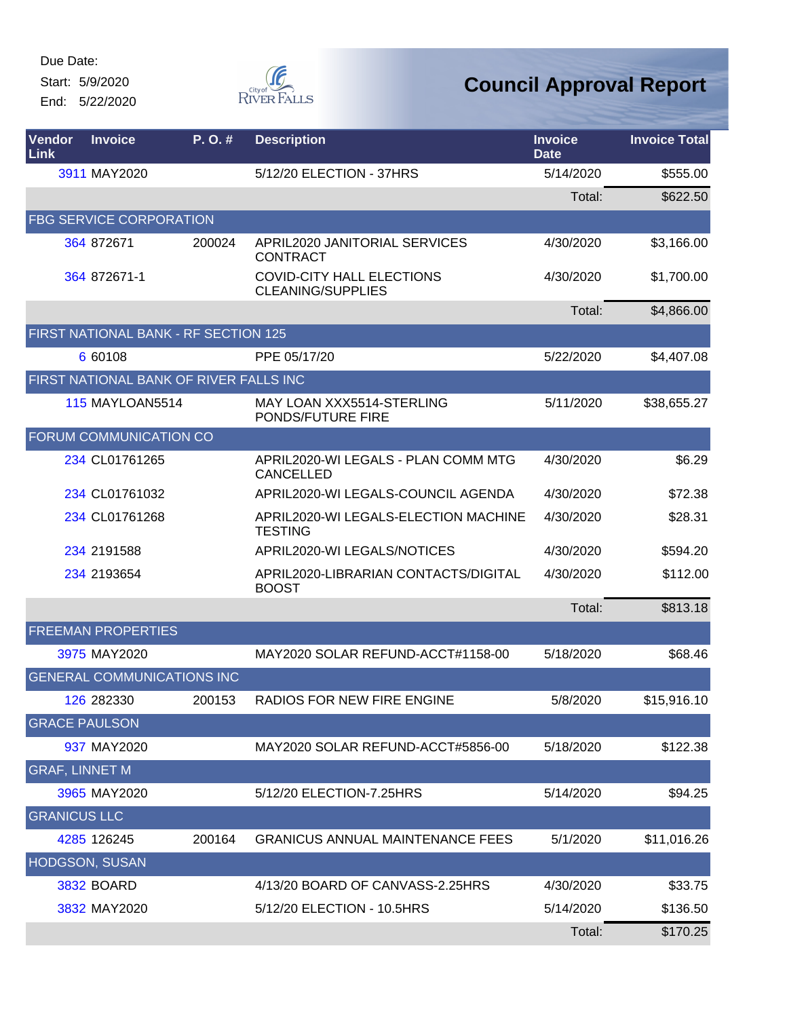Start: 5/9/2020

End: 5/22/2020



| Vendor<br>Link        | <b>Invoice</b>                         | P.O.#  | <b>Description</b>                                           | <b>Invoice</b><br><b>Date</b> | <b>Invoice Total</b> |
|-----------------------|----------------------------------------|--------|--------------------------------------------------------------|-------------------------------|----------------------|
|                       | 3911 MAY2020                           |        | 5/12/20 ELECTION - 37HRS                                     | 5/14/2020                     | \$555.00             |
|                       |                                        |        |                                                              | Total:                        | \$622.50             |
|                       | <b>FBG SERVICE CORPORATION</b>         |        |                                                              |                               |                      |
|                       | 364 872671                             | 200024 | APRIL2020 JANITORIAL SERVICES<br><b>CONTRACT</b>             | 4/30/2020                     | \$3,166.00           |
|                       | 364 872671-1                           |        | <b>COVID-CITY HALL ELECTIONS</b><br><b>CLEANING/SUPPLIES</b> | 4/30/2020                     | \$1,700.00           |
|                       |                                        |        |                                                              | Total:                        | \$4,866.00           |
|                       | FIRST NATIONAL BANK - RF SECTION 125   |        |                                                              |                               |                      |
|                       | 6 60108                                |        | PPE 05/17/20                                                 | 5/22/2020                     | \$4,407.08           |
|                       | FIRST NATIONAL BANK OF RIVER FALLS INC |        |                                                              |                               |                      |
|                       | <b>115 MAYLOAN5514</b>                 |        | MAY LOAN XXX5514-STERLING<br>PONDS/FUTURE FIRE               | 5/11/2020                     | \$38,655.27          |
|                       | <b>FORUM COMMUNICATION CO</b>          |        |                                                              |                               |                      |
|                       | 234 CL01761265                         |        | APRIL2020-WI LEGALS - PLAN COMM MTG<br><b>CANCELLED</b>      | 4/30/2020                     | \$6.29               |
|                       | 234 CL01761032                         |        | APRIL2020-WI LEGALS-COUNCIL AGENDA                           | 4/30/2020                     | \$72.38              |
|                       | 234 CL01761268                         |        | APRIL2020-WI LEGALS-ELECTION MACHINE<br><b>TESTING</b>       | 4/30/2020                     | \$28.31              |
|                       | 234 2191588                            |        | APRIL2020-WI LEGALS/NOTICES                                  | 4/30/2020                     | \$594.20             |
|                       | 234 2193654                            |        | APRIL2020-LIBRARIAN CONTACTS/DIGITAL<br><b>BOOST</b>         | 4/30/2020                     | \$112.00             |
|                       |                                        |        |                                                              | Total:                        | \$813.18             |
|                       | <b>FREEMAN PROPERTIES</b>              |        |                                                              |                               |                      |
|                       | 3975 MAY2020                           |        | MAY2020 SOLAR REFUND-ACCT#1158-00                            | 5/18/2020                     | \$68.46              |
|                       | <b>GENERAL COMMUNICATIONS INC</b>      |        |                                                              |                               |                      |
|                       | 126 282330                             | 200153 | RADIOS FOR NEW FIRE ENGINE                                   | 5/8/2020                      | \$15,916.10          |
|                       | <b>GRACE PAULSON</b>                   |        |                                                              |                               |                      |
|                       | 937 MAY2020                            |        | MAY2020 SOLAR REFUND-ACCT#5856-00                            | 5/18/2020                     | \$122.38             |
| <b>GRAF, LINNET M</b> |                                        |        |                                                              |                               |                      |
|                       | 3965 MAY2020                           |        | 5/12/20 ELECTION-7.25HRS                                     | 5/14/2020                     | \$94.25              |
| <b>GRANICUS LLC</b>   |                                        |        |                                                              |                               |                      |
|                       | 4285 126245                            | 200164 | <b>GRANICUS ANNUAL MAINTENANCE FEES</b>                      | 5/1/2020                      | \$11,016.26          |
|                       | <b>HODGSON, SUSAN</b>                  |        |                                                              |                               |                      |
|                       | <b>3832 BOARD</b>                      |        | 4/13/20 BOARD OF CANVASS-2.25HRS                             | 4/30/2020                     | \$33.75              |
|                       | 3832 MAY2020                           |        | 5/12/20 ELECTION - 10.5HRS                                   | 5/14/2020                     | \$136.50             |
|                       |                                        |        |                                                              | Total:                        | \$170.25             |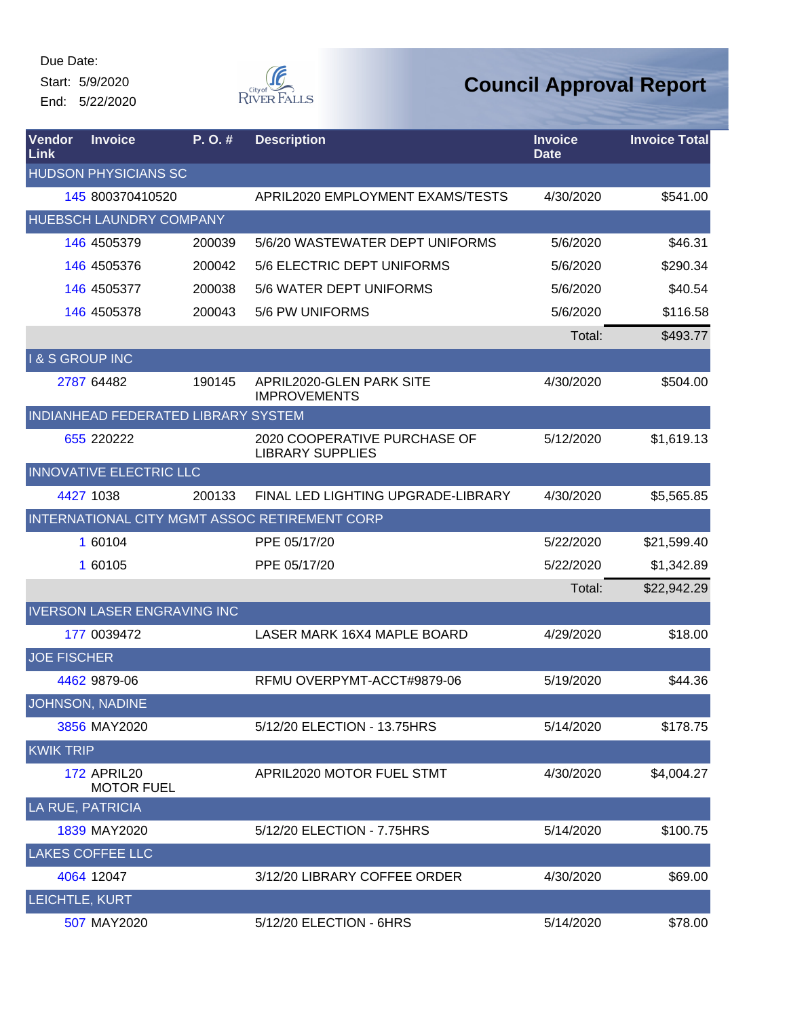Start: 5/9/2020

End: 5/22/2020



| Vendor<br>Link           | <b>Invoice</b>                          | $P. O.$ #                           | <b>Description</b>                                      | <b>Invoice</b><br><b>Date</b> | <b>Invoice Total</b> |
|--------------------------|-----------------------------------------|-------------------------------------|---------------------------------------------------------|-------------------------------|----------------------|
|                          | <b>HUDSON PHYSICIANS SC</b>             |                                     |                                                         |                               |                      |
|                          | 145 800370410520                        |                                     | APRIL2020 EMPLOYMENT EXAMS/TESTS                        | 4/30/2020                     | \$541.00             |
|                          | <b>HUEBSCH LAUNDRY COMPANY</b>          |                                     |                                                         |                               |                      |
|                          | 146 4505379                             | 200039                              | 5/6/20 WASTEWATER DEPT UNIFORMS                         | 5/6/2020                      | \$46.31              |
|                          | 146 4505376                             | 200042                              | 5/6 ELECTRIC DEPT UNIFORMS                              | 5/6/2020                      | \$290.34             |
|                          | 146 4505377                             | 200038                              | 5/6 WATER DEPT UNIFORMS                                 | 5/6/2020                      | \$40.54              |
|                          | 146 4505378                             | 200043                              | 5/6 PW UNIFORMS                                         | 5/6/2020                      | \$116.58             |
|                          |                                         |                                     |                                                         | Total:                        | \$493.77             |
| <b>I&amp;S GROUP INC</b> |                                         |                                     |                                                         |                               |                      |
|                          | 2787 64482                              | 190145                              | APRIL2020-GLEN PARK SITE<br><b>IMPROVEMENTS</b>         | 4/30/2020                     | \$504.00             |
|                          |                                         | INDIANHEAD FEDERATED LIBRARY SYSTEM |                                                         |                               |                      |
|                          | 655 220222                              |                                     | 2020 COOPERATIVE PURCHASE OF<br><b>LIBRARY SUPPLIES</b> | 5/12/2020                     | \$1,619.13           |
|                          | <b>INNOVATIVE ELECTRIC LLC</b>          |                                     |                                                         |                               |                      |
|                          | 4427 1038                               | 200133                              | FINAL LED LIGHTING UPGRADE-LIBRARY                      | 4/30/2020                     | \$5,565.85           |
|                          |                                         |                                     | INTERNATIONAL CITY MGMT ASSOC RETIREMENT CORP           |                               |                      |
|                          | 1 60104                                 |                                     | PPE 05/17/20                                            | 5/22/2020                     | \$21,599.40          |
|                          | 1 60105                                 |                                     | PPE 05/17/20                                            | 5/22/2020                     | \$1,342.89           |
|                          |                                         |                                     |                                                         | Total:                        | \$22,942.29          |
|                          | <b>IVERSON LASER ENGRAVING INC</b>      |                                     |                                                         |                               |                      |
|                          | 177 0039472                             |                                     | LASER MARK 16X4 MAPLE BOARD                             | 4/29/2020                     | \$18.00              |
| <b>JOE FISCHER</b>       |                                         |                                     |                                                         |                               |                      |
|                          | 4462 9879-06                            |                                     | RFMU OVERPYMT-ACCT#9879-06                              | 5/19/2020                     | \$44.36              |
|                          | JOHNSON, NADINE                         |                                     |                                                         |                               |                      |
|                          | 3856 MAY2020                            |                                     | 5/12/20 ELECTION - 13.75HRS                             | 5/14/2020                     | \$178.75             |
| <b>KWIK TRIP</b>         |                                         |                                     |                                                         |                               |                      |
|                          | <b>172 APRIL20</b><br><b>MOTOR FUEL</b> |                                     | APRIL2020 MOTOR FUEL STMT                               | 4/30/2020                     | \$4,004.27           |
| <b>LA RUE, PATRICIA</b>  |                                         |                                     |                                                         |                               |                      |
|                          | 1839 MAY2020                            |                                     | 5/12/20 ELECTION - 7.75HRS                              | 5/14/2020                     | \$100.75             |
|                          | <b>LAKES COFFEE LLC</b>                 |                                     |                                                         |                               |                      |
|                          | 4064 12047                              |                                     | 3/12/20 LIBRARY COFFEE ORDER                            | 4/30/2020                     | \$69.00              |
| LEICHTLE, KURT           |                                         |                                     |                                                         |                               |                      |
|                          | 507 MAY2020                             |                                     | 5/12/20 ELECTION - 6HRS                                 | 5/14/2020                     | \$78.00              |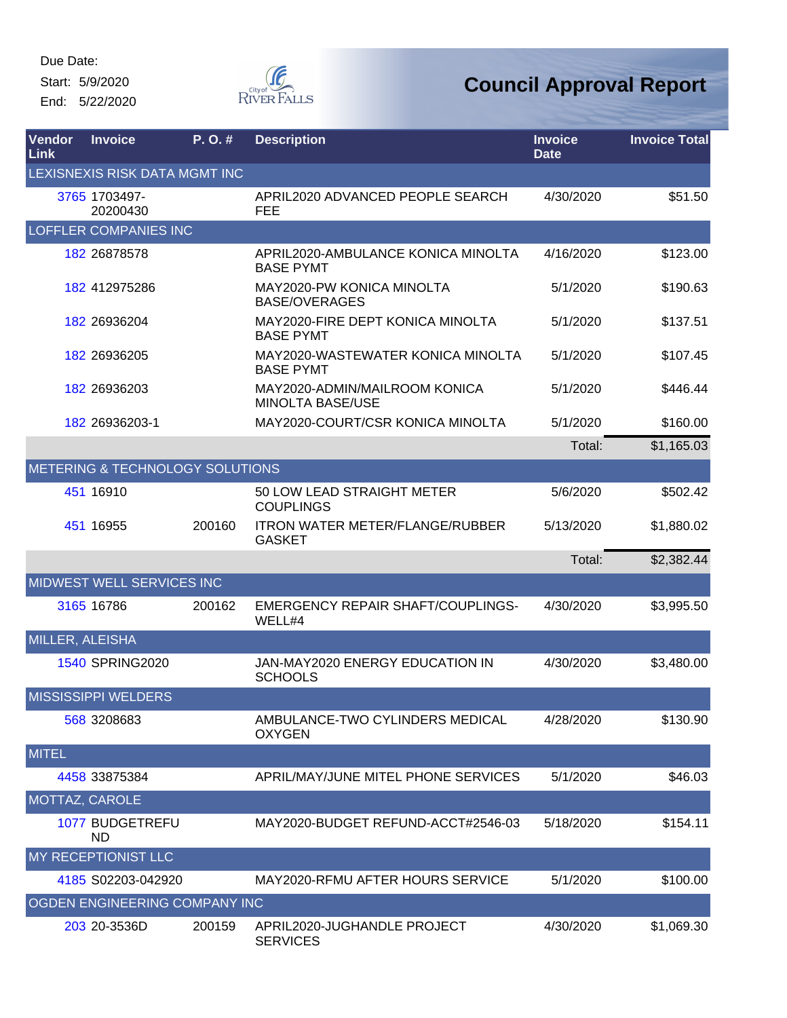Start: 5/9/2020 End: 5/22/2020



| Vendor<br>Link  | <b>Invoice</b>                       | P. O. # | <b>Description</b>                                       | <b>Invoice</b><br><b>Date</b> | <b>Invoice Total</b> |
|-----------------|--------------------------------------|---------|----------------------------------------------------------|-------------------------------|----------------------|
|                 | <b>LEXISNEXIS RISK DATA MGMT INC</b> |         |                                                          |                               |                      |
|                 | 3765 1703497-<br>20200430            |         | APRIL2020 ADVANCED PEOPLE SEARCH<br>FEE                  | 4/30/2020                     | \$51.50              |
|                 | <b>LOFFLER COMPANIES INC</b>         |         |                                                          |                               |                      |
|                 | 182 26878578                         |         | APRIL2020-AMBULANCE KONICA MINOLTA<br><b>BASE PYMT</b>   | 4/16/2020                     | \$123.00             |
|                 | 182 412975286                        |         | MAY2020-PW KONICA MINOLTA<br><b>BASE/OVERAGES</b>        | 5/1/2020                      | \$190.63             |
|                 | 182 26936204                         |         | MAY2020-FIRE DEPT KONICA MINOLTA<br><b>BASE PYMT</b>     | 5/1/2020                      | \$137.51             |
|                 | 182 26936205                         |         | MAY2020-WASTEWATER KONICA MINOLTA<br><b>BASE PYMT</b>    | 5/1/2020                      | \$107.45             |
|                 | 182 26936203                         |         | MAY2020-ADMIN/MAILROOM KONICA<br><b>MINOLTA BASE/USE</b> | 5/1/2020                      | \$446.44             |
|                 | 182 26936203-1                       |         | MAY2020-COURT/CSR KONICA MINOLTA                         | 5/1/2020                      | \$160.00             |
|                 |                                      |         |                                                          | Total:                        | \$1,165.03           |
|                 | METERING & TECHNOLOGY SOLUTIONS      |         |                                                          |                               |                      |
|                 | 451 16910                            |         | 50 LOW LEAD STRAIGHT METER<br><b>COUPLINGS</b>           | 5/6/2020                      | \$502.42             |
|                 | 451 16955                            | 200160  | <b>ITRON WATER METER/FLANGE/RUBBER</b><br><b>GASKET</b>  | 5/13/2020                     | \$1,880.02           |
|                 |                                      |         |                                                          | Total:                        | \$2,382.44           |
|                 | MIDWEST WELL SERVICES INC            |         |                                                          |                               |                      |
|                 | 3165 16786                           | 200162  | <b>EMERGENCY REPAIR SHAFT/COUPLINGS-</b><br>WELL#4       | 4/30/2020                     | \$3,995.50           |
| MILLER, ALEISHA |                                      |         |                                                          |                               |                      |
|                 | <b>1540 SPRING2020</b>               |         | <b>JAN-MAY2020 ENERGY EDUCATION IN</b><br><b>SCHOOLS</b> | 4/30/2020                     | \$3,480.00           |
|                 | <b>MISSISSIPPI WELDERS</b>           |         |                                                          |                               |                      |
|                 | 568 3208683                          |         | AMBULANCE-TWO CYLINDERS MEDICAL<br><b>OXYGEN</b>         | 4/28/2020                     | \$130.90             |
| <b>MITEL</b>    |                                      |         |                                                          |                               |                      |
|                 | 4458 33875384                        |         | APRIL/MAY/JUNE MITEL PHONE SERVICES                      | 5/1/2020                      | \$46.03              |
| MOTTAZ, CAROLE  |                                      |         |                                                          |                               |                      |
|                 | 1077 BUDGETREFU<br><b>ND</b>         |         | MAY2020-BUDGET REFUND-ACCT#2546-03                       | 5/18/2020                     | \$154.11             |
|                 | <b>MY RECEPTIONIST LLC</b>           |         |                                                          |                               |                      |
|                 | 4185 S02203-042920                   |         | MAY2020-RFMU AFTER HOURS SERVICE                         | 5/1/2020                      | \$100.00             |
|                 | <b>OGDEN ENGINEERING COMPANY INC</b> |         |                                                          |                               |                      |
|                 | 203 20-3536D                         | 200159  | APRIL2020-JUGHANDLE PROJECT<br><b>SERVICES</b>           | 4/30/2020                     | \$1,069.30           |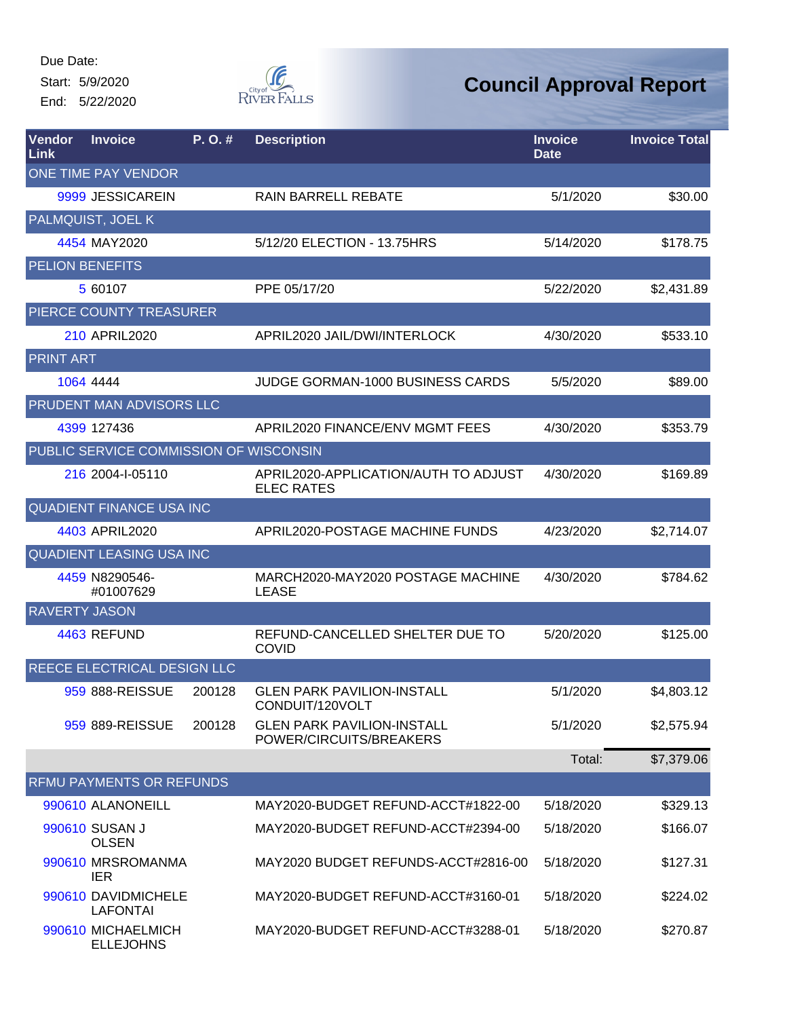Start: 5/9/2020 End: 5/22/2020



| Vendor<br>Link         | <b>Invoice</b>                         | P. O. # | <b>Description</b>                                           | <b>Invoice</b><br><b>Date</b> | <b>Invoice Total</b> |
|------------------------|----------------------------------------|---------|--------------------------------------------------------------|-------------------------------|----------------------|
|                        | <b>ONE TIME PAY VENDOR</b>             |         |                                                              |                               |                      |
|                        | 9999 JESSICAREIN                       |         | <b>RAIN BARRELL REBATE</b>                                   | 5/1/2020                      | \$30.00              |
|                        | PALMQUIST, JOEL K                      |         |                                                              |                               |                      |
|                        | 4454 MAY2020                           |         | 5/12/20 ELECTION - 13.75HRS                                  | 5/14/2020                     | \$178.75             |
| <b>PELION BENEFITS</b> |                                        |         |                                                              |                               |                      |
|                        | 5 60107                                |         | PPE 05/17/20                                                 | 5/22/2020                     | \$2,431.89           |
|                        | PIERCE COUNTY TREASURER                |         |                                                              |                               |                      |
|                        | 210 APRIL2020                          |         | APRIL2020 JAIL/DWI/INTERLOCK                                 | 4/30/2020                     | \$533.10             |
| <b>PRINT ART</b>       |                                        |         |                                                              |                               |                      |
|                        | 1064 4444                              |         | <b>JUDGE GORMAN-1000 BUSINESS CARDS</b>                      | 5/5/2020                      | \$89.00              |
|                        | <b>PRUDENT MAN ADVISORS LLC</b>        |         |                                                              |                               |                      |
|                        | 4399 127436                            |         | APRIL2020 FINANCE/ENV MGMT FEES                              | 4/30/2020                     | \$353.79             |
|                        | PUBLIC SERVICE COMMISSION OF WISCONSIN |         |                                                              |                               |                      |
|                        | 216 2004-I-05110                       |         | APRIL2020-APPLICATION/AUTH TO ADJUST<br><b>ELEC RATES</b>    | 4/30/2020                     | \$169.89             |
|                        | QUADIENT FINANCE USA INC               |         |                                                              |                               |                      |
|                        | 4403 APRIL2020                         |         | APRIL2020-POSTAGE MACHINE FUNDS                              | 4/23/2020                     | \$2,714.07           |
|                        | <b>QUADIENT LEASING USA INC</b>        |         |                                                              |                               |                      |
|                        | 4459 N8290546-<br>#01007629            |         | MARCH2020-MAY2020 POSTAGE MACHINE<br><b>LEASE</b>            | 4/30/2020                     | \$784.62             |
| <b>RAVERTY JASON</b>   |                                        |         |                                                              |                               |                      |
|                        | 4463 REFUND                            |         | REFUND-CANCELLED SHELTER DUE TO<br><b>COVID</b>              | 5/20/2020                     | \$125.00             |
|                        | REECE ELECTRICAL DESIGN LLC            |         |                                                              |                               |                      |
|                        | 959 888-REISSUE                        | 200128  | <b>GLEN PARK PAVILION-INSTALL</b><br>CONDUIT/120VOLT         | 5/1/2020                      | \$4,803.12           |
|                        | 959 889-REISSUE                        | 200128  | <b>GLEN PARK PAVILION-INSTALL</b><br>POWER/CIRCUITS/BREAKERS | 5/1/2020                      | \$2,575.94           |
|                        |                                        |         |                                                              | Total:                        | \$7,379.06           |
|                        | RFMU PAYMENTS OR REFUNDS               |         |                                                              |                               |                      |
|                        | 990610 ALANONEILL                      |         | MAY2020-BUDGET REFUND-ACCT#1822-00                           | 5/18/2020                     | \$329.13             |
|                        | 990610 SUSAN J<br><b>OLSEN</b>         |         | MAY2020-BUDGET REFUND-ACCT#2394-00                           | 5/18/2020                     | \$166.07             |
|                        | 990610 MRSROMANMA<br><b>IER</b>        |         | MAY2020 BUDGET REFUNDS-ACCT#2816-00                          | 5/18/2020                     | \$127.31             |
|                        | 990610 DAVIDMICHELE<br><b>LAFONTAI</b> |         | MAY2020-BUDGET REFUND-ACCT#3160-01                           | 5/18/2020                     | \$224.02             |
|                        | 990610 MICHAELMICH<br><b>ELLEJOHNS</b> |         | MAY2020-BUDGET REFUND-ACCT#3288-01                           | 5/18/2020                     | \$270.87             |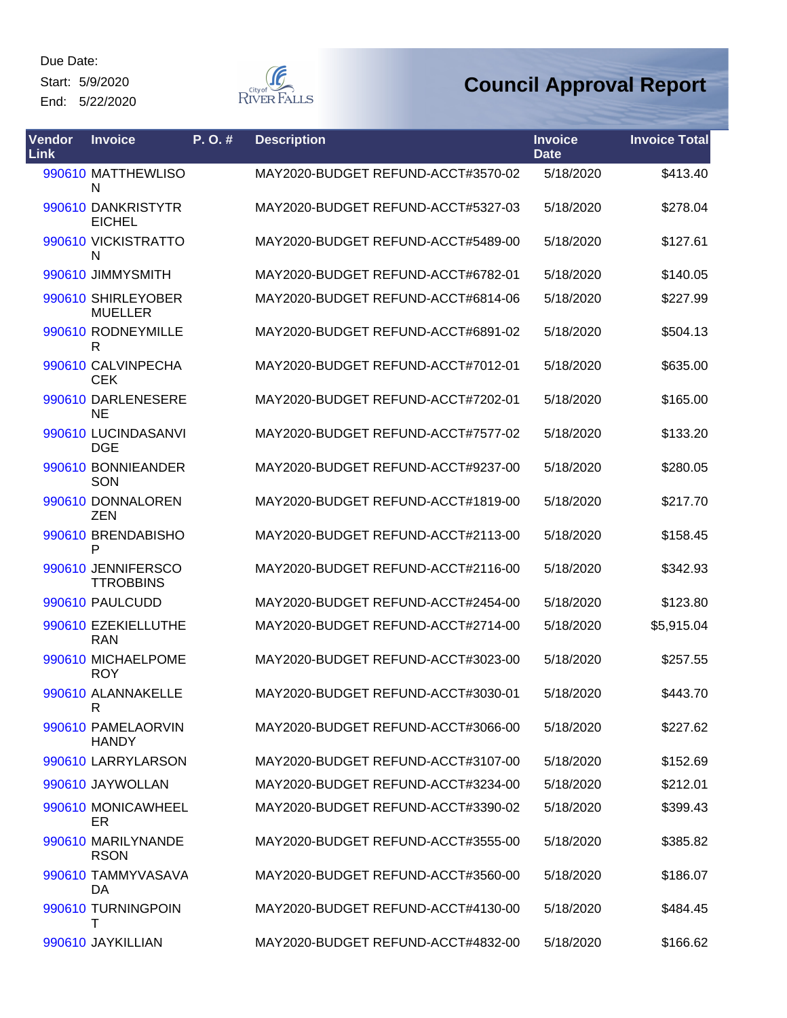Start: 5/9/2020

End: 5/22/2020



| <b>Vendor</b><br><b>Link</b> | <b>Invoice</b>                         | P.O.# | <b>Description</b>                 | <b>Invoice</b><br><b>Date</b> | <b>Invoice Total</b> |
|------------------------------|----------------------------------------|-------|------------------------------------|-------------------------------|----------------------|
|                              | 990610 MATTHEWLISO<br>N                |       | MAY2020-BUDGET REFUND-ACCT#3570-02 | 5/18/2020                     | \$413.40             |
|                              | 990610 DANKRISTYTR<br><b>EICHEL</b>    |       | MAY2020-BUDGET REFUND-ACCT#5327-03 | 5/18/2020                     | \$278.04             |
|                              | 990610 VICKISTRATTO<br>N               |       | MAY2020-BUDGET REFUND-ACCT#5489-00 | 5/18/2020                     | \$127.61             |
|                              | 990610 JIMMYSMITH                      |       | MAY2020-BUDGET REFUND-ACCT#6782-01 | 5/18/2020                     | \$140.05             |
|                              | 990610 SHIRLEYOBER<br><b>MUELLER</b>   |       | MAY2020-BUDGET REFUND-ACCT#6814-06 | 5/18/2020                     | \$227.99             |
|                              | 990610 RODNEYMILLE<br>R                |       | MAY2020-BUDGET REFUND-ACCT#6891-02 | 5/18/2020                     | \$504.13             |
|                              | 990610 CALVINPECHA<br><b>CEK</b>       |       | MAY2020-BUDGET REFUND-ACCT#7012-01 | 5/18/2020                     | \$635.00             |
|                              | 990610 DARLENESERE<br><b>NE</b>        |       | MAY2020-BUDGET REFUND-ACCT#7202-01 | 5/18/2020                     | \$165.00             |
|                              | 990610 LUCINDASANVI<br><b>DGE</b>      |       | MAY2020-BUDGET REFUND-ACCT#7577-02 | 5/18/2020                     | \$133.20             |
|                              | 990610 BONNIEANDER<br>SON              |       | MAY2020-BUDGET REFUND-ACCT#9237-00 | 5/18/2020                     | \$280.05             |
|                              | 990610 DONNALOREN<br><b>ZEN</b>        |       | MAY2020-BUDGET REFUND-ACCT#1819-00 | 5/18/2020                     | \$217.70             |
|                              | 990610 BRENDABISHO<br>P                |       | MAY2020-BUDGET REFUND-ACCT#2113-00 | 5/18/2020                     | \$158.45             |
|                              | 990610 JENNIFERSCO<br><b>TTROBBINS</b> |       | MAY2020-BUDGET REFUND-ACCT#2116-00 | 5/18/2020                     | \$342.93             |
|                              | 990610 PAULCUDD                        |       | MAY2020-BUDGET REFUND-ACCT#2454-00 | 5/18/2020                     | \$123.80             |
|                              | 990610 EZEKIELLUTHE<br><b>RAN</b>      |       | MAY2020-BUDGET REFUND-ACCT#2714-00 | 5/18/2020                     | \$5,915.04           |
|                              | 990610 MICHAELPOME<br><b>ROY</b>       |       | MAY2020-BUDGET REFUND-ACCT#3023-00 | 5/18/2020                     | \$257.55             |
|                              | 990610 ALANNAKELLE<br>R                |       | MAY2020-BUDGET REFUND-ACCT#3030-01 | 5/18/2020                     | \$443.70             |
|                              | 990610 PAMELAORVIN<br><b>HANDY</b>     |       | MAY2020-BUDGET REFUND-ACCT#3066-00 | 5/18/2020                     | \$227.62             |
|                              | 990610 LARRYLARSON                     |       | MAY2020-BUDGET REFUND-ACCT#3107-00 | 5/18/2020                     | \$152.69             |
|                              | 990610 JAYWOLLAN                       |       | MAY2020-BUDGET REFUND-ACCT#3234-00 | 5/18/2020                     | \$212.01             |
|                              | 990610 MONICAWHEEL<br>ER               |       | MAY2020-BUDGET REFUND-ACCT#3390-02 | 5/18/2020                     | \$399.43             |
|                              | 990610 MARILYNANDE<br><b>RSON</b>      |       | MAY2020-BUDGET REFUND-ACCT#3555-00 | 5/18/2020                     | \$385.82             |
|                              | 990610 TAMMYVASAVA<br>DA               |       | MAY2020-BUDGET REFUND-ACCT#3560-00 | 5/18/2020                     | \$186.07             |
|                              | 990610 TURNINGPOIN<br>т                |       | MAY2020-BUDGET REFUND-ACCT#4130-00 | 5/18/2020                     | \$484.45             |
|                              | 990610 JAYKILLIAN                      |       | MAY2020-BUDGET REFUND-ACCT#4832-00 | 5/18/2020                     | \$166.62             |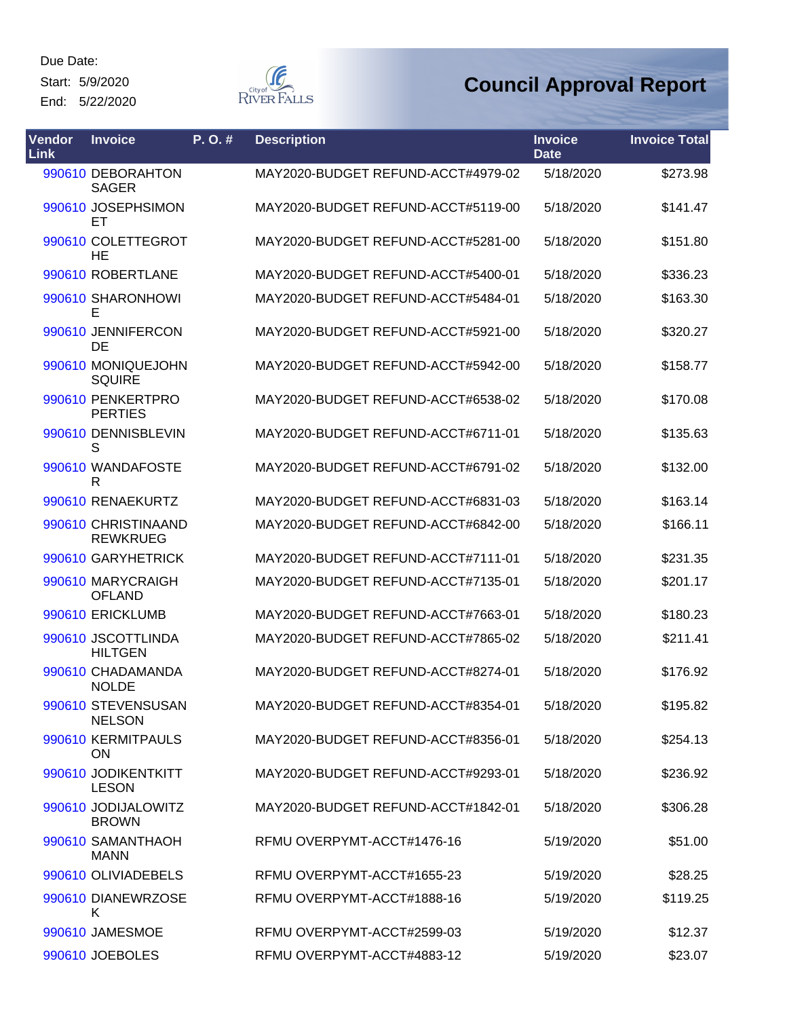Start: 5/9/2020

End: 5/22/2020



| Vendor<br>Link | <b>Invoice</b>                         | P. O. # | <b>Description</b>                 | <b>Invoice</b><br><b>Date</b> | <b>Invoice Total</b> |
|----------------|----------------------------------------|---------|------------------------------------|-------------------------------|----------------------|
|                | 990610 DEBORAHTON<br><b>SAGER</b>      |         | MAY2020-BUDGET REFUND-ACCT#4979-02 | 5/18/2020                     | \$273.98             |
|                | 990610 JOSEPHSIMON<br>ET               |         | MAY2020-BUDGET REFUND-ACCT#5119-00 | 5/18/2020                     | \$141.47             |
|                | 990610 COLETTEGROT<br>HE               |         | MAY2020-BUDGET REFUND-ACCT#5281-00 | 5/18/2020                     | \$151.80             |
|                | 990610 ROBERTLANE                      |         | MAY2020-BUDGET REFUND-ACCT#5400-01 | 5/18/2020                     | \$336.23             |
|                | 990610 SHARONHOWI<br>E                 |         | MAY2020-BUDGET REFUND-ACCT#5484-01 | 5/18/2020                     | \$163.30             |
|                | 990610 JENNIFERCON<br>DE               |         | MAY2020-BUDGET REFUND-ACCT#5921-00 | 5/18/2020                     | \$320.27             |
|                | 990610 MONIQUEJOHN<br><b>SQUIRE</b>    |         | MAY2020-BUDGET REFUND-ACCT#5942-00 | 5/18/2020                     | \$158.77             |
|                | 990610 PENKERTPRO<br><b>PERTIES</b>    |         | MAY2020-BUDGET REFUND-ACCT#6538-02 | 5/18/2020                     | \$170.08             |
|                | 990610 DENNISBLEVIN<br>S               |         | MAY2020-BUDGET REFUND-ACCT#6711-01 | 5/18/2020                     | \$135.63             |
|                | 990610 WANDAFOSTE<br>R                 |         | MAY2020-BUDGET REFUND-ACCT#6791-02 | 5/18/2020                     | \$132.00             |
|                | 990610 RENAEKURTZ                      |         | MAY2020-BUDGET REFUND-ACCT#6831-03 | 5/18/2020                     | \$163.14             |
|                | 990610 CHRISTINAAND<br><b>REWKRUEG</b> |         | MAY2020-BUDGET REFUND-ACCT#6842-00 | 5/18/2020                     | \$166.11             |
|                | 990610 GARYHETRICK                     |         | MAY2020-BUDGET REFUND-ACCT#7111-01 | 5/18/2020                     | \$231.35             |
|                | 990610 MARYCRAIGH<br><b>OFLAND</b>     |         | MAY2020-BUDGET REFUND-ACCT#7135-01 | 5/18/2020                     | \$201.17             |
|                | 990610 ERICKLUMB                       |         | MAY2020-BUDGET REFUND-ACCT#7663-01 | 5/18/2020                     | \$180.23             |
|                | 990610 JSCOTTLINDA<br><b>HILTGEN</b>   |         | MAY2020-BUDGET REFUND-ACCT#7865-02 | 5/18/2020                     | \$211.41             |
|                | 990610 CHADAMANDA<br><b>NOLDE</b>      |         | MAY2020-BUDGET REFUND-ACCT#8274-01 | 5/18/2020                     | \$176.92             |
|                | 990610 STEVENSUSAN<br><b>NELSON</b>    |         | MAY2020-BUDGET REFUND-ACCT#8354-01 | 5/18/2020                     | \$195.82             |
|                | 990610 KERMITPAULS<br><b>ON</b>        |         | MAY2020-BUDGET REFUND-ACCT#8356-01 | 5/18/2020                     | \$254.13             |
|                | 990610 JODIKENTKITT<br><b>LESON</b>    |         | MAY2020-BUDGET REFUND-ACCT#9293-01 | 5/18/2020                     | \$236.92             |
|                | 990610 JODIJALOWITZ<br><b>BROWN</b>    |         | MAY2020-BUDGET REFUND-ACCT#1842-01 | 5/18/2020                     | \$306.28             |
|                | 990610 SAMANTHAOH<br><b>MANN</b>       |         | RFMU OVERPYMT-ACCT#1476-16         | 5/19/2020                     | \$51.00              |
|                | 990610 OLIVIADEBELS                    |         | RFMU OVERPYMT-ACCT#1655-23         | 5/19/2020                     | \$28.25              |
|                | 990610 DIANEWRZOSE<br>Κ                |         | RFMU OVERPYMT-ACCT#1888-16         | 5/19/2020                     | \$119.25             |
|                | 990610 JAMESMOE                        |         | RFMU OVERPYMT-ACCT#2599-03         | 5/19/2020                     | \$12.37              |
|                | 990610 JOEBOLES                        |         | RFMU OVERPYMT-ACCT#4883-12         | 5/19/2020                     | \$23.07              |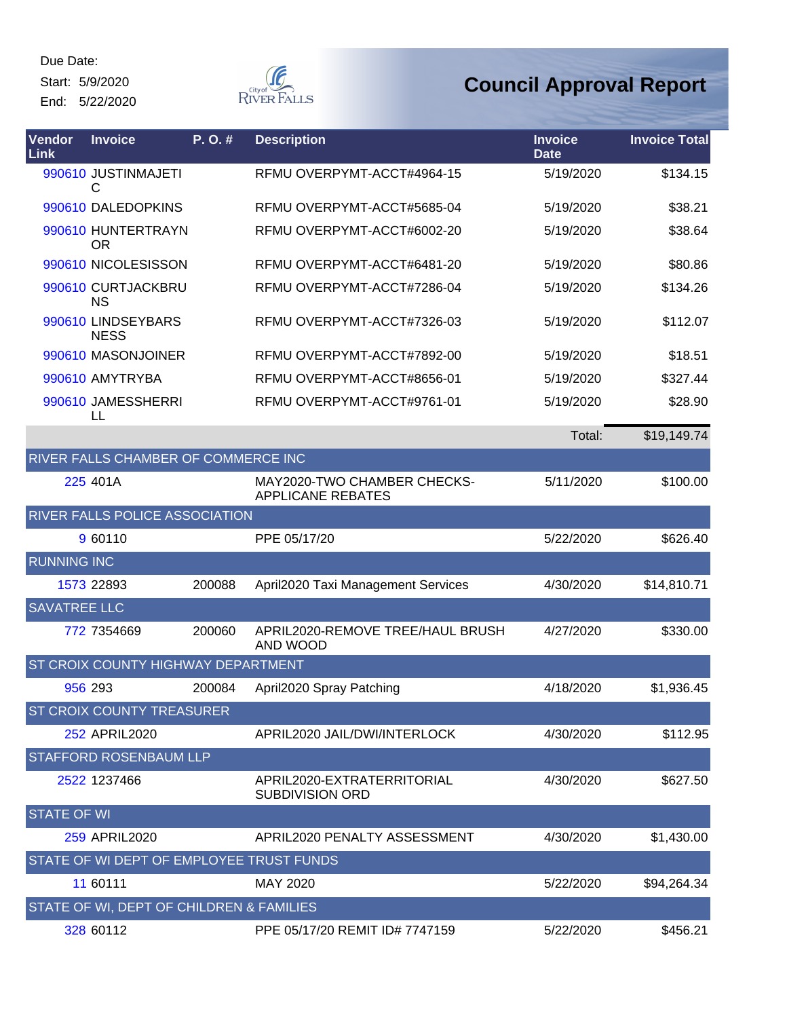Start: 5/9/2020

End: 5/22/2020



| Vendor<br>Link      | <b>Invoice</b>                           | P.O.#  | <b>Description</b>                                      | <b>Invoice</b><br><b>Date</b> | <b>Invoice Total</b> |
|---------------------|------------------------------------------|--------|---------------------------------------------------------|-------------------------------|----------------------|
|                     | 990610 JUSTINMAJETI<br>С                 |        | RFMU OVERPYMT-ACCT#4964-15                              | 5/19/2020                     | \$134.15             |
|                     | 990610 DALEDOPKINS                       |        | RFMU OVERPYMT-ACCT#5685-04                              | 5/19/2020                     | \$38.21              |
|                     | 990610 HUNTERTRAYN<br><b>OR</b>          |        | RFMU OVERPYMT-ACCT#6002-20                              | 5/19/2020                     | \$38.64              |
|                     | 990610 NICOLESISSON                      |        | RFMU OVERPYMT-ACCT#6481-20                              | 5/19/2020                     | \$80.86              |
|                     | 990610 CURTJACKBRU<br><b>NS</b>          |        | RFMU OVERPYMT-ACCT#7286-04                              | 5/19/2020                     | \$134.26             |
|                     | 990610 LINDSEYBARS<br><b>NESS</b>        |        | RFMU OVERPYMT-ACCT#7326-03                              | 5/19/2020                     | \$112.07             |
|                     | 990610 MASONJOINER                       |        | RFMU OVERPYMT-ACCT#7892-00                              | 5/19/2020                     | \$18.51              |
|                     | 990610 AMYTRYBA                          |        | RFMU OVERPYMT-ACCT#8656-01                              | 5/19/2020                     | \$327.44             |
|                     | 990610 JAMESSHERRI<br>LL                 |        | RFMU OVERPYMT-ACCT#9761-01                              | 5/19/2020                     | \$28.90              |
|                     |                                          |        |                                                         | Total:                        | \$19,149.74          |
|                     | RIVER FALLS CHAMBER OF COMMERCE INC      |        |                                                         |                               |                      |
|                     | 225 401A                                 |        | MAY2020-TWO CHAMBER CHECKS-<br><b>APPLICANE REBATES</b> | 5/11/2020                     | \$100.00             |
|                     | RIVER FALLS POLICE ASSOCIATION           |        |                                                         |                               |                      |
|                     | 9 60110                                  |        | PPE 05/17/20                                            | 5/22/2020                     | \$626.40             |
| <b>RUNNING INC</b>  |                                          |        |                                                         |                               |                      |
|                     | 1573 22893                               | 200088 | April2020 Taxi Management Services                      | 4/30/2020                     | \$14,810.71          |
| <b>SAVATREE LLC</b> |                                          |        |                                                         |                               |                      |
|                     | 772 7354669                              | 200060 | APRIL2020-REMOVE TREE/HAUL BRUSH<br>AND WOOD            | 4/27/2020                     | \$330.00             |
|                     | ST CROIX COUNTY HIGHWAY DEPARTMENT       |        |                                                         |                               |                      |
|                     | 956 293                                  | 200084 | April2020 Spray Patching                                | 4/18/2020                     | \$1,936.45           |
|                     | <b>ST CROIX COUNTY TREASURER</b>         |        |                                                         |                               |                      |
|                     | 252 APRIL2020                            |        | APRIL2020 JAIL/DWI/INTERLOCK                            | 4/30/2020                     | \$112.95             |
|                     | <b>STAFFORD ROSENBAUM LLP</b>            |        |                                                         |                               |                      |
|                     | 2522 1237466                             |        | APRIL2020-EXTRATERRITORIAL<br><b>SUBDIVISION ORD</b>    | 4/30/2020                     | \$627.50             |
| <b>STATE OF WI</b>  |                                          |        |                                                         |                               |                      |
|                     | 259 APRIL2020                            |        | APRIL2020 PENALTY ASSESSMENT                            | 4/30/2020                     | \$1,430.00           |
|                     | STATE OF WI DEPT OF EMPLOYEE TRUST FUNDS |        |                                                         |                               |                      |
|                     | 11 60111                                 |        | MAY 2020                                                | 5/22/2020                     | \$94,264.34          |
|                     | STATE OF WI, DEPT OF CHILDREN & FAMILIES |        |                                                         |                               |                      |
|                     | 328 60112                                |        | PPE 05/17/20 REMIT ID# 7747159                          | 5/22/2020                     | \$456.21             |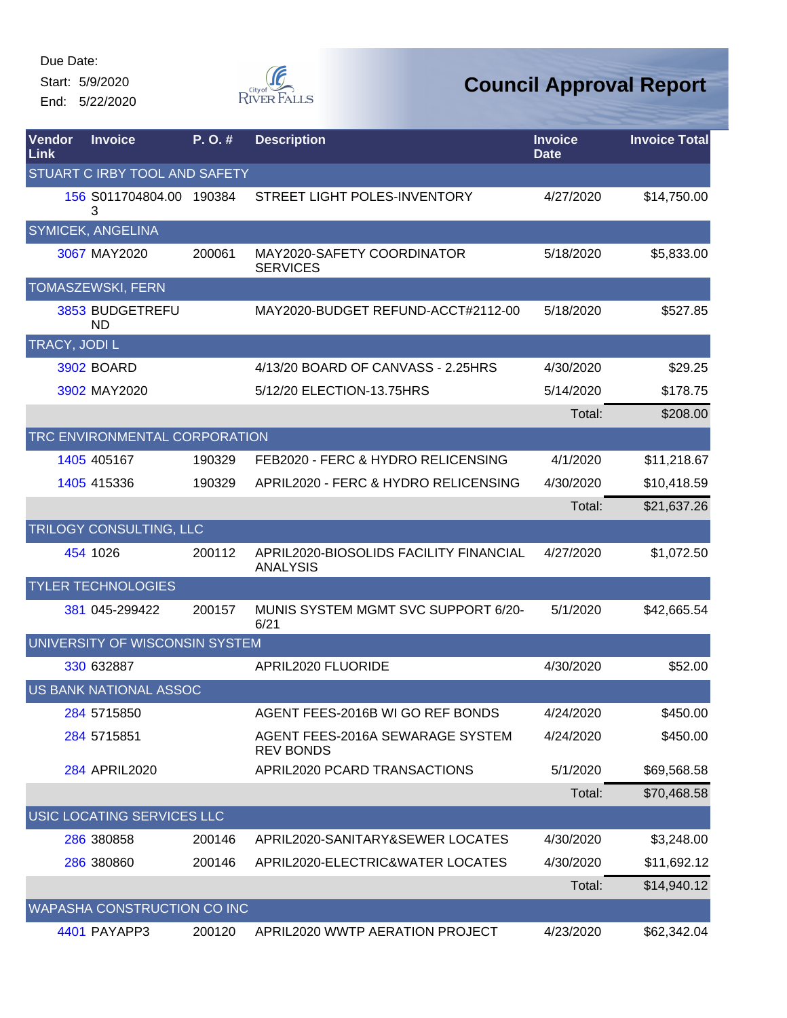Start: 5/9/2020 End: 5/22/2020  $\begin{picture}(120,110) \put(0,0){\line(1,0){150}} \put(15,0){\line(1,0){150}} \put(15,0){\line(1,0){150}} \put(15,0){\line(1,0){150}} \put(15,0){\line(1,0){150}} \put(15,0){\line(1,0){150}} \put(15,0){\line(1,0){150}} \put(15,0){\line(1,0){150}} \put(15,0){\line(1,0){150}} \put(15,0){\line(1,0){150}} \put(15,0){\line(1,0){150$ 

| Vendor<br>Link | <b>Invoice</b>                 | P. O. # | <b>Description</b>                                        | <b>Invoice</b><br><b>Date</b> | <b>Invoice Total</b> |
|----------------|--------------------------------|---------|-----------------------------------------------------------|-------------------------------|----------------------|
|                | STUART C IRBY TOOL AND SAFETY  |         |                                                           |                               |                      |
|                | 156 S011704804.00 190384<br>3  |         | STREET LIGHT POLES-INVENTORY                              | 4/27/2020                     | \$14,750.00          |
|                | SYMICEK, ANGELINA              |         |                                                           |                               |                      |
|                | 3067 MAY2020                   | 200061  | MAY2020-SAFETY COORDINATOR<br><b>SERVICES</b>             | 5/18/2020                     | \$5,833.00           |
|                | TOMASZEWSKI, FERN              |         |                                                           |                               |                      |
|                | 3853 BUDGETREFU<br>ND          |         | MAY2020-BUDGET REFUND-ACCT#2112-00                        | 5/18/2020                     | \$527.85             |
| TRACY, JODI L  |                                |         |                                                           |                               |                      |
|                | <b>3902 BOARD</b>              |         | 4/13/20 BOARD OF CANVASS - 2.25HRS                        | 4/30/2020                     | \$29.25              |
|                | 3902 MAY2020                   |         | 5/12/20 ELECTION-13.75HRS                                 | 5/14/2020                     | \$178.75             |
|                |                                |         |                                                           | Total:                        | \$208.00             |
|                | TRC ENVIRONMENTAL CORPORATION  |         |                                                           |                               |                      |
|                | 1405 405167                    | 190329  | FEB2020 - FERC & HYDRO RELICENSING                        | 4/1/2020                      | \$11,218.67          |
|                | 1405 415336                    | 190329  | APRIL2020 - FERC & HYDRO RELICENSING                      | 4/30/2020                     | \$10,418.59          |
|                |                                |         |                                                           | Total:                        | \$21,637.26          |
|                | TRILOGY CONSULTING, LLC        |         |                                                           |                               |                      |
|                | 454 1026                       | 200112  | APRIL2020-BIOSOLIDS FACILITY FINANCIAL<br><b>ANALYSIS</b> | 4/27/2020                     | \$1,072.50           |
|                | <b>TYLER TECHNOLOGIES</b>      |         |                                                           |                               |                      |
|                | 381 045-299422                 | 200157  | MUNIS SYSTEM MGMT SVC SUPPORT 6/20-<br>6/21               | 5/1/2020                      | \$42,665.54          |
|                | UNIVERSITY OF WISCONSIN SYSTEM |         |                                                           |                               |                      |
|                | 330 632887                     |         | APRIL2020 FLUORIDE                                        | 4/30/2020                     | \$52.00              |
|                | <b>US BANK NATIONAL ASSOC</b>  |         |                                                           |                               |                      |
|                | 284 5715850                    |         | AGENT FEES-2016B WI GO REF BONDS                          | 4/24/2020                     | \$450.00             |
|                | 284 571 5851                   |         | AGENT FEES-2016A SEWARAGE SYSTEM<br><b>REV BONDS</b>      | 4/24/2020                     | \$450.00             |
|                | 284 APRIL2020                  |         | APRIL2020 PCARD TRANSACTIONS                              | 5/1/2020                      | \$69,568.58          |
|                |                                |         |                                                           | Total:                        | \$70,468.58          |
|                | USIC LOCATING SERVICES LLC     |         |                                                           |                               |                      |
|                | 286 380858                     | 200146  | APRIL2020-SANITARY&SEWER LOCATES                          | 4/30/2020                     | \$3,248.00           |
|                | 286 380860                     | 200146  | APRIL2020-ELECTRIC&WATER LOCATES                          | 4/30/2020                     | \$11,692.12          |
|                |                                |         |                                                           | Total:                        | \$14,940.12          |
|                | WAPASHA CONSTRUCTION CO INC    |         |                                                           |                               |                      |
|                | 4401 PAYAPP3                   | 200120  | APRIL2020 WWTP AERATION PROJECT                           | 4/23/2020                     | \$62,342.04          |